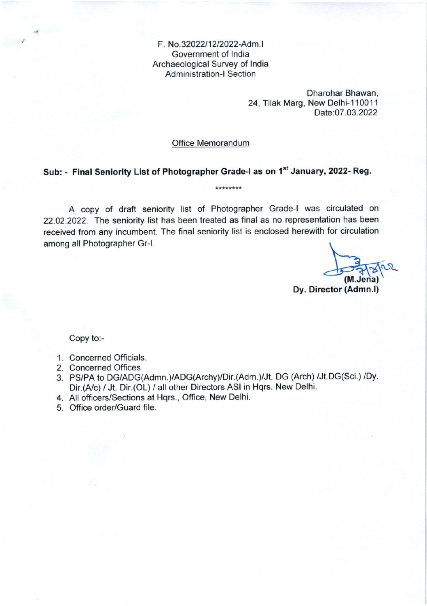F. No.32022/12/2022-Adm.I Government of lndia Archaeological Survey of lndia Administration-l Section

> Dharohar Bhawan, 24, Tilak Marg, New Delhi-110011 Date:07.03.2022

## Office Memorandum

## Sub: - Final Seniority List of Photographer Grade-I as on 1st January, 2022- Reg.

A copy of draft seniority list of Photographer Grade-l was circulated on 22.02.2022. The seniority list has been treated as final as no representation has been received from any incumbent. The final seniority list is enclosed herewith for circulation among all Photographer Gr-|. \

 $\frac{1}{2}$   $\frac{1}{2}$ 

Dy. Director (Admn.l)

Copy to:-

- 1. Concerned officials.
- 2. Concerned Offices.
- 3. PS/PA to DG/ADG(Admn.)/ADG(Archy)/Dir.(Adm.)/Jt. DG (Arch) /Jt.DG(Sci.) /Dv. Dir.(A/c) / Jt. Dir.(OL) / all other Directors ASI in Hqrs. New Delhi.
- 4. All officers/Sections at Hqrs., Office, New Delhi.
- 5. Office order/Guard file.